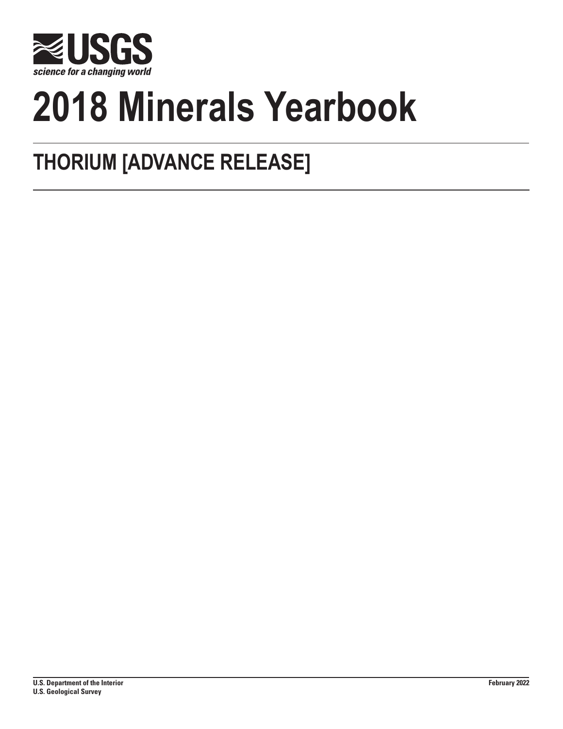

# **2018 Minerals Yearbook**

## **THORIUM [ADVANCE RELEASE]**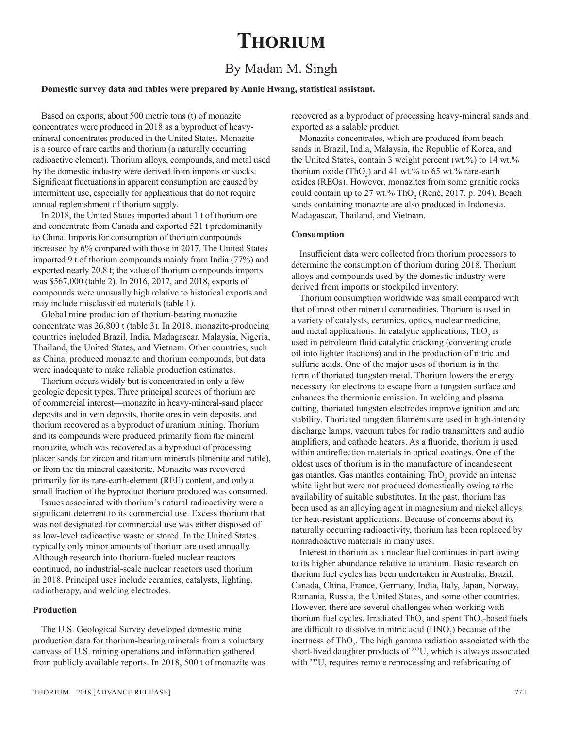### **Thorium**

#### By Madan M. Singh

#### **Domestic survey data and tables were prepared by Annie Hwang, statistical assistant.**

Based on exports, about 500 metric tons (t) of monazite concentrates were produced in 2018 as a byproduct of heavymineral concentrates produced in the United States. Monazite is a source of rare earths and thorium (a naturally occurring radioactive element). Thorium alloys, compounds, and metal used by the domestic industry were derived from imports or stocks. Significant fluctuations in apparent consumption are caused by intermittent use, especially for applications that do not require annual replenishment of thorium supply.

In 2018, the United States imported about 1 t of thorium ore and concentrate from Canada and exported 521 t predominantly to China. Imports for consumption of thorium compounds increased by 6% compared with those in 2017. The United States imported 9 t of thorium compounds mainly from India (77%) and exported nearly 20.8 t; the value of thorium compounds imports was \$567,000 (table 2). In 2016, 2017, and 2018, exports of compounds were unusually high relative to historical exports and may include misclassified materials (table 1).

Global mine production of thorium-bearing monazite concentrate was 26,800 t (table 3). In 2018, monazite-producing countries included Brazil, India, Madagascar, Malaysia, Nigeria, Thailand, the United States, and Vietnam. Other countries, such as China, produced monazite and thorium compounds, but data were inadequate to make reliable production estimates.

Thorium occurs widely but is concentrated in only a few geologic deposit types. Three principal sources of thorium are of commercial interest—monazite in heavy-mineral-sand placer deposits and in vein deposits, thorite ores in vein deposits, and thorium recovered as a byproduct of uranium mining. Thorium and its compounds were produced primarily from the mineral monazite, which was recovered as a byproduct of processing placer sands for zircon and titanium minerals (ilmenite and rutile), or from the tin mineral cassiterite. Monazite was recovered primarily for its rare-earth-element (REE) content, and only a small fraction of the byproduct thorium produced was consumed.

Issues associated with thorium's natural radioactivity were a significant deterrent to its commercial use. Excess thorium that was not designated for commercial use was either disposed of as low-level radioactive waste or stored. In the United States, typically only minor amounts of thorium are used annually. Although research into thorium-fueled nuclear reactors continued, no industrial-scale nuclear reactors used thorium in 2018. Principal uses include ceramics, catalysts, lighting, radiotherapy, and welding electrodes.

#### **Production**

The U.S. Geological Survey developed domestic mine production data for thorium-bearing minerals from a voluntary canvass of U.S. mining operations and information gathered from publicly available reports. In 2018, 500 t of monazite was recovered as a byproduct of processing heavy-mineral sands and exported as a salable product.

Monazite concentrates, which are produced from beach sands in Brazil, India, Malaysia, the Republic of Korea, and the United States, contain 3 weight percent (wt.%) to 14 wt.% thorium oxide  $(ThO<sub>2</sub>)$  and 41 wt.% to 65 wt.% rare-earth oxides (REOs). However, monazites from some granitic rocks could contain up to 27 wt.% ThO<sub>2</sub> (René, 2017, p. 204). Beach sands containing monazite are also produced in Indonesia, Madagascar, Thailand, and Vietnam.

#### **Consumption**

Insufficient data were collected from thorium processors to determine the consumption of thorium during 2018. Thorium alloys and compounds used by the domestic industry were derived from imports or stockpiled inventory.

Thorium consumption worldwide was small compared with that of most other mineral commodities. Thorium is used in a variety of catalysts, ceramics, optics, nuclear medicine, and metal applications. In catalytic applications,  $ThO_2$  is used in petroleum fluid catalytic cracking (converting crude oil into lighter fractions) and in the production of nitric and sulfuric acids. One of the major uses of thorium is in the form of thoriated tungsten metal. Thorium lowers the energy necessary for electrons to escape from a tungsten surface and enhances the thermionic emission. In welding and plasma cutting, thoriated tungsten electrodes improve ignition and arc stability. Thoriated tungsten filaments are used in high-intensity discharge lamps, vacuum tubes for radio transmitters and audio amplifiers, and cathode heaters. As a fluoride, thorium is used within antireflection materials in optical coatings. One of the oldest uses of thorium is in the manufacture of incandescent gas mantles. Gas mantles containing  $ThO_2$  provide an intense white light but were not produced domestically owing to the availability of suitable substitutes. In the past, thorium has been used as an alloying agent in magnesium and nickel alloys for heat-resistant applications. Because of concerns about its naturally occurring radioactivity, thorium has been replaced by nonradioactive materials in many uses.

Interest in thorium as a nuclear fuel continues in part owing to its higher abundance relative to uranium. Basic research on thorium fuel cycles has been undertaken in Australia, Brazil, Canada, China, France, Germany, India, Italy, Japan, Norway, Romania, Russia, the United States, and some other countries. However, there are several challenges when working with thorium fuel cycles. Irradiated  $ThO_2$  and spent  $ThO_2$ -based fuels are difficult to dissolve in nitric acid  $(HNO<sub>3</sub>)$  because of the inertness of  $ThO<sub>2</sub>$ . The high gamma radiation associated with the short-lived daughter products of 232U, which is always associated with <sup>233</sup>U, requires remote reprocessing and refabricating of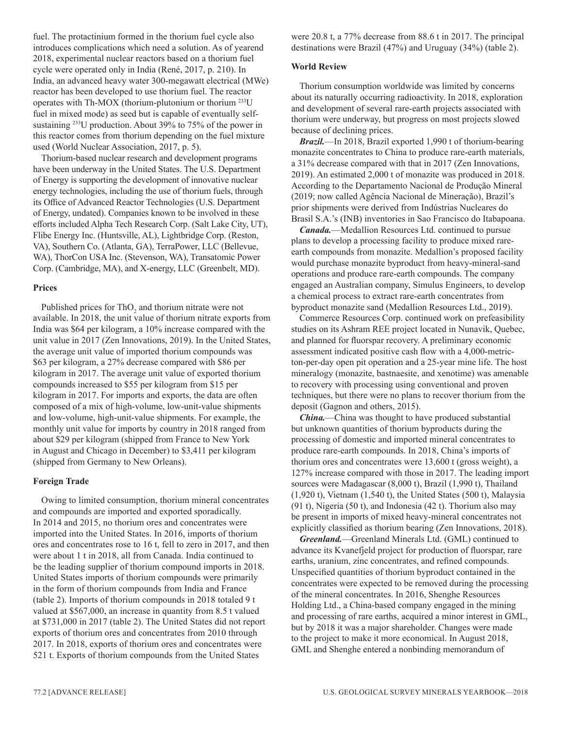fuel. The protactinium formed in the thorium fuel cycle also introduces complications which need a solution. As of yearend 2018, experimental nuclear reactors based on a thorium fuel cycle were operated only in India (René, 2017, p. 210). In India, an advanced heavy water 300-megawatt electrical (MWe) reactor has been developed to use thorium fuel. The reactor operates with Th-MOX (thorium-plutonium or thorium 233U fuel in mixed mode) as seed but is capable of eventually selfsustaining 233U production. About 39% to 75% of the power in this reactor comes from thorium depending on the fuel mixture used (World Nuclear Association, 2017, p. 5).

Thorium-based nuclear research and development programs have been underway in the United States. The U.S. Department of Energy is supporting the development of innovative nuclear energy technologies, including the use of thorium fuels, through its Office of Advanced Reactor Technologies (U.S. Department of Energy, undated). Companies known to be involved in these efforts included Alpha Tech Research Corp. (Salt Lake City, UT), Flibe Energy Inc. (Huntsville, AL), Lightbridge Corp. (Reston, VA), Southern Co. (Atlanta, GA), TerraPower, LLC (Bellevue, WA), ThorCon USA Inc. (Stevenson, WA), Transatomic Power Corp. (Cambridge, MA), and X-energy, LLC (Greenbelt, MD).

#### **Prices**

Published prices for  $ThO_2$  and thorium nitrate were not available. In 2018, the unit value of thorium nitrate exports from India was \$64 per kilogram, a 10% increase compared with the unit value in 2017 (Zen Innovations, 2019). In the United States, the average unit value of imported thorium compounds was \$63 per kilogram, a 27% decrease compared with \$86 per kilogram in 2017. The average unit value of exported thorium compounds increased to \$55 per kilogram from \$15 per kilogram in 2017. For imports and exports, the data are often composed of a mix of high-volume, low-unit-value shipments and low-volume, high-unit-value shipments. For example, the monthly unit value for imports by country in 2018 ranged from about \$29 per kilogram (shipped from France to New York in August and Chicago in December) to \$3,411 per kilogram (shipped from Germany to New Orleans).

#### **Foreign Trade**

Owing to limited consumption, thorium mineral concentrates and compounds are imported and exported sporadically. In 2014 and 2015, no thorium ores and concentrates were imported into the United States. In 2016, imports of thorium ores and concentrates rose to 16 t, fell to zero in 2017, and then were about 1 t in 2018, all from Canada. India continued to be the leading supplier of thorium compound imports in 2018. United States imports of thorium compounds were primarily in the form of thorium compounds from India and France (table 2). Imports of thorium compounds in 2018 totaled 9 t valued at \$567,000, an increase in quantity from 8.5 t valued at \$731,000 in 2017 (table 2). The United States did not report exports of thorium ores and concentrates from 2010 through 2017. In 2018, exports of thorium ores and concentrates were 521 t. Exports of thorium compounds from the United States

were 20.8 t, a 77% decrease from 88.6 t in 2017. The principal destinations were Brazil (47%) and Uruguay (34%) (table 2).

#### **World Review**

Thorium consumption worldwide was limited by concerns about its naturally occurring radioactivity. In 2018, exploration and development of several rare-earth projects associated with thorium were underway, but progress on most projects slowed because of declining prices.

*Brazil.*—In 2018, Brazil exported 1,990 t of thorium-bearing monazite concentrates to China to produce rare-earth materials, a 31% decrease compared with that in 2017 (Zen Innovations, 2019). An estimated 2,000 t of monazite was produced in 2018. According to the Departamento Nacional de Produção Mineral (2019; now called Agência Nacional de Mineração), Brazil's prior shipments were derived from Indústrias Nucleares do Brasil S.A.'s (INB) inventories in Sao Francisco do Itabapoana.

*Canada.*—Medallion Resources Ltd. continued to pursue plans to develop a processing facility to produce mixed rareearth compounds from monazite. Medallion's proposed facility would purchase monazite byproduct from heavy-mineral-sand operations and produce rare-earth compounds. The company engaged an Australian company, Simulus Engineers, to develop a chemical process to extract rare-earth concentrates from byproduct monazite sand (Medallion Resources Ltd., 2019).

Commerce Resources Corp. continued work on prefeasibility studies on its Ashram REE project located in Nunavik, Quebec, and planned for fluorspar recovery. A preliminary economic assessment indicated positive cash flow with a 4,000-metricton-per-day open pit operation and a 25-year mine life. The host mineralogy (monazite, bastnaesite, and xenotime) was amenable to recovery with processing using conventional and proven techniques, but there were no plans to recover thorium from the deposit (Gagnon and others, 2015).

*China.*—China was thought to have produced substantial but unknown quantities of thorium byproducts during the processing of domestic and imported mineral concentrates to produce rare-earth compounds. In 2018, China's imports of thorium ores and concentrates were 13,600 t (gross weight), a 127% increase compared with those in 2017. The leading import sources were Madagascar (8,000 t), Brazil (1,990 t), Thailand (1,920 t), Vietnam (1,540 t), the United States (500 t), Malaysia (91 t), Nigeria (50 t), and Indonesia (42 t). Thorium also may be present in imports of mixed heavy-mineral concentrates not explicitly classified as thorium bearing (Zen Innovations, 2018).

*Greenland.*—Greenland Minerals Ltd. (GML) continued to advance its Kvanefjeld project for production of fluorspar, rare earths, uranium, zinc concentrates, and refined compounds. Unspecified quantities of thorium byproduct contained in the concentrates were expected to be removed during the processing of the mineral concentrates. In 2016, Shenghe Resources Holding Ltd., a China-based company engaged in the mining and processing of rare earths, acquired a minor interest in GML, but by 2018 it was a major shareholder. Changes were made to the project to make it more economical. In August 2018, GML and Shenghe entered a nonbinding memorandum of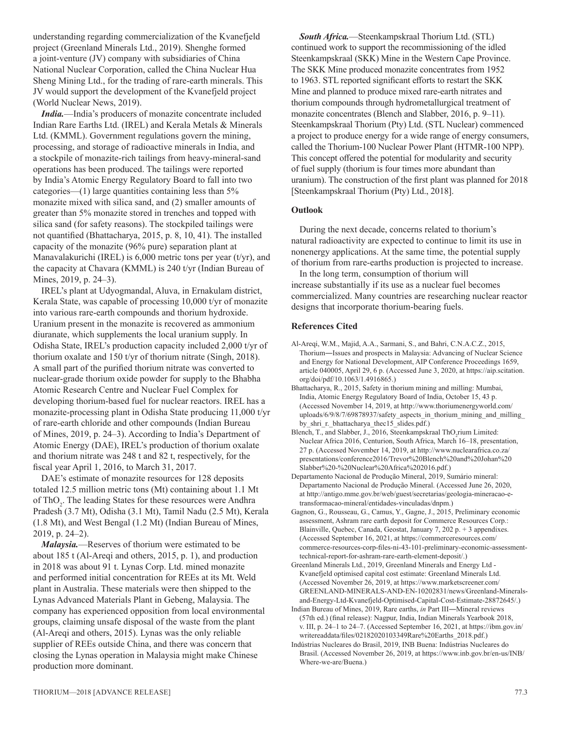understanding regarding commercialization of the Kvanefjeld project (Greenland Minerals Ltd., 2019). Shenghe formed a joint-venture (JV) company with subsidiaries of China National Nuclear Corporation, called the China Nuclear Hua Sheng Mining Ltd., for the trading of rare-earth minerals. This JV would support the development of the Kvanefjeld project (World Nuclear News, 2019).

*India.*—India's producers of monazite concentrate included Indian Rare Earths Ltd. (IREL) and Kerala Metals & Minerals Ltd. (KMML). Government regulations govern the mining, processing, and storage of radioactive minerals in India, and a stockpile of monazite-rich tailings from heavy-mineral-sand operations has been produced. The tailings were reported by India's Atomic Energy Regulatory Board to fall into two categories—(1) large quantities containing less than 5% monazite mixed with silica sand, and (2) smaller amounts of greater than 5% monazite stored in trenches and topped with silica sand (for safety reasons). The stockpiled tailings were not quantified (Bhattacharya, 2015, p. 8, 10, 41). The installed capacity of the monazite (96% pure) separation plant at Manavalakurichi (IREL) is 6,000 metric tons per year (t/yr), and the capacity at Chavara (KMML) is 240 t/yr (Indian Bureau of Mines, 2019, p. 24–3).

IREL's plant at Udyogmandal, Aluva, in Ernakulam district, Kerala State, was capable of processing 10,000 t/yr of monazite into various rare-earth compounds and thorium hydroxide. Uranium present in the monazite is recovered as ammonium diuranate, which supplements the local uranium supply. In Odisha State, IREL's production capacity included 2,000 t/yr of thorium oxalate and 150 t/yr of thorium nitrate (Singh, 2018). A small part of the purified thorium nitrate was converted to nuclear-grade thorium oxide powder for supply to the Bhabha Atomic Research Centre and Nuclear Fuel Complex for developing thorium-based fuel for nuclear reactors. IREL has a monazite-processing plant in Odisha State producing 11,000 t/yr of rare-earth chloride and other compounds (Indian Bureau of Mines, 2019, p. 24–3). According to India's Department of Atomic Energy (DAE), IREL's production of thorium oxalate and thorium nitrate was 248 t and 82 t, respectively, for the fiscal year April 1, 2016, to March 31, 2017.

DAE's estimate of monazite resources for 128 deposits totaled 12.5 million metric tons (Mt) containing about 1.1 Mt of ThO<sub>2</sub>. The leading States for these resources were Andhra Pradesh (3.7 Mt), Odisha (3.1 Mt), Tamil Nadu (2.5 Mt), Kerala (1.8 Mt), and West Bengal (1.2 Mt) (Indian Bureau of Mines, 2019, p. 24–2).

*Malaysia.*—Reserves of thorium were estimated to be about 185 t (Al-Areqi and others, 2015, p. 1), and production in 2018 was about 91 t. Lynas Corp. Ltd. mined monazite and performed initial concentration for REEs at its Mt. Weld plant in Australia. These materials were then shipped to the Lynas Advanced Materials Plant in Gebeng, Malaysia. The company has experienced opposition from local environmental groups, claiming unsafe disposal of the waste from the plant (Al-Areqi and others, 2015). Lynas was the only reliable supplier of REEs outside China, and there was concern that closing the Lynas operation in Malaysia might make Chinese production more dominant.

*South Africa.*—Steenkampskraal Thorium Ltd. (STL) continued work to support the recommissioning of the idled Steenkampskraal (SKK) Mine in the Western Cape Province. The SKK Mine produced monazite concentrates from 1952 to 1963. STL reported significant efforts to restart the SKK Mine and planned to produce mixed rare-earth nitrates and thorium compounds through hydrometallurgical treatment of monazite concentrates (Blench and Slabber, 2016, p. 9–11). Steenkampskraal Thorium (Pty) Ltd. (STL Nuclear) commenced a project to produce energy for a wide range of energy consumers, called the Thorium-100 Nuclear Power Plant (HTMR-100 NPP). This concept offered the potential for modularity and security of fuel supply (thorium is four times more abundant than uranium). The construction of the first plant was planned for 2018 [Steenkampskraal Thorium (Pty) Ltd., 2018].

#### **Outlook**

During the next decade, concerns related to thorium's natural radioactivity are expected to continue to limit its use in nonenergy applications. At the same time, the potential supply of thorium from rare-earths production is projected to increase.

In the long term, consumption of thorium will increase substantially if its use as a nuclear fuel becomes commercialized. Many countries are researching nuclear reactor designs that incorporate thorium-bearing fuels.

#### **References Cited**

- Al-Areqi, W.M., Majid, A.A., Sarmani, S., and Bahri, C.N.A.C.Z., 2015, Thorium―Issues and prospects in Malaysia: Advancing of Nuclear Science and Energy for National Development, AIP Conference Proceedings 1659, article 040005, April 29, 6 p. (Accessed June 3, 2020, at [https://aip.scitation.](https://aip.scitation.org/doi/pdf/10.1063/1.4916865) [org/doi/pdf/10.1063/1.4916865](https://aip.scitation.org/doi/pdf/10.1063/1.4916865).)
- Bhattacharya, R., 2015, Safety in thorium mining and milling: Mumbai, India, Atomic Energy Regulatory Board of India, October 15, 43 p. (Accessed November 14, 2019, at http://www.thoriumenergyworld.com/ uploads/6/9/8/7/69878937/safety\_aspects\_in\_thorium\_mining\_and\_milling\_ by\_shri\_r.\_bhattacharya\_thec15\_slides.pdf.)
- Blench, T., and Slabber, J., 2016, Steenkampskraal ThO<sub>2</sub>rium Limited: Nuclear Africa 2016, Centurion, South Africa, March 16–18, presentation, 27 p. (Accessed November 14, 2019, at [http://www.nuclearafrica.co.za/](http://www.nuclearafrica.co.za/presentations/conference2016/Trevor Blench and Johan Slabber - Nuclear Africa 2016.pdf) [presentations/conference2016/Trevor%20Blench%20and%20Johan%20](http://www.nuclearafrica.co.za/presentations/conference2016/Trevor Blench and Johan Slabber - Nuclear Africa 2016.pdf) [Slabber%20-%20Nuclear%20Africa%202016.pdf.](http://www.nuclearafrica.co.za/presentations/conference2016/Trevor Blench and Johan Slabber - Nuclear Africa 2016.pdf))
- Departamento Nacional de Produção Mineral, 2019, Sumário mineral: Departamento Nacional de Produção Mineral. (Accessed June 26, 2020, at [http://antigo.mme.gov.br/web/guest/secretarias/geologia-mineracao-e](http://antigo.mme.gov.br/web/guest/secretarias/geologia-mineracao-e-transformacao-mineral/entidades-vinculadas/dnpm)[transformacao-mineral/entidades-vinculadas/dnpm](http://antigo.mme.gov.br/web/guest/secretarias/geologia-mineracao-e-transformacao-mineral/entidades-vinculadas/dnpm).)
- Gagnon, G., Rousseau, G., Camus, Y., Gagne, J., 2015, Preliminary economic assessment, Ashram rare earth deposit for Commerce Resources Corp.: Blainville, Quebec, Canada, Geostat, January 7, 202 p. + 3 appendixes. (Accessed September 16, 2021, at https://commerceresources.com/ commerce-resources-corp-files-ni-43-101-preliminary-economic-assessmenttechnical-report-for-ashram-rare-earth-element-deposit/.)
- Greenland Minerals Ltd., 2019, Greenland Minerals and Energy Ltd Kvanefjeld optimised capital cost estimate: Greenland Minerals Ltd. (Accessed November 26, 2019, at [https://www.marketscreener.com/](https://www.marketscreener.com/GREENLAND-MINERALS-AND-EN-10202831/news/Greenland-Minerals-and-Energy-Ltd-Kvanefjeld-Optimised-Capital-Cost-Estimate-28872645/) [GREENLAND-MINERALS-AND-EN-10202831/news/Greenland-Minerals](https://www.marketscreener.com/GREENLAND-MINERALS-AND-EN-10202831/news/Greenland-Minerals-and-Energy-Ltd-Kvanefjeld-Optimised-Capital-Cost-Estimate-28872645/)[and-Energy-Ltd-Kvanefjeld-Optimised-Capital-Cost-Estimate-28872645/.](https://www.marketscreener.com/GREENLAND-MINERALS-AND-EN-10202831/news/Greenland-Minerals-and-Energy-Ltd-Kvanefjeld-Optimised-Capital-Cost-Estimate-28872645/))
- Indian Bureau of Mines, 2019, Rare earths, *in* Part III―Mineral reviews (57th ed.) (final release): Nagpur, India, Indian Minerals Yearbook 2018, v. III, p. 24–1 to 24–7. (Accessed September 16, 2021, at https://ibm.gov.in/ writereaddata/files/02182020103349Rare%20Earths\_2018.pdf.)
- Indústrias Nucleares do Brasil, 2019, INB Buena: Indústrias Nucleares do Brasil. (Accessed November 26, 2019, at [https://www.inb.gov.br/en-us/INB/](https://www.inb.gov.br/en-us/INB/Where-we-are/Buena) [Where-we-are/Buena](https://www.inb.gov.br/en-us/INB/Where-we-are/Buena).)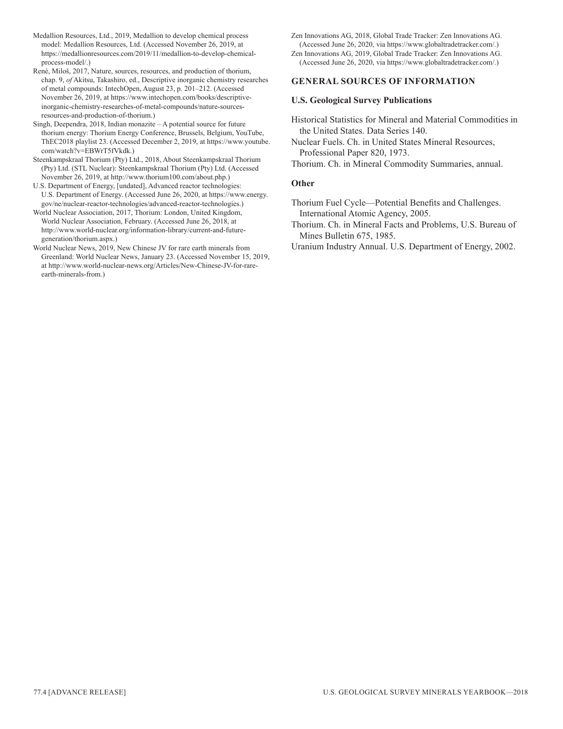- Medallion Resources, Ltd., 2019, Medallion to develop chemical process model: Medallion Resources, Ltd. (Accessed November 26, 2019, at https://medallionresources.com/2019/11/medallion-to-develop-chemicalprocess-model/.)
- René, Miloš, 2017, Nature, sources, resources, and production of thorium, chap. 9, *of* Akitsu, Takashiro, ed., Descriptive inorganic chemistry researches of metal compounds: IntechOpen, August 23, p. 201–212. (Accessed November 26, 2019, at [https://www.intechopen.com/books/descriptive](https://www.intechopen.com/books/descriptive-inorganic-chemistry-researches-of-metal-compounds/nature-sources-resources-and-production-of-thorium)[inorganic-chemistry-researches-of-metal-compounds/nature-sources](https://www.intechopen.com/books/descriptive-inorganic-chemistry-researches-of-metal-compounds/nature-sources-resources-and-production-of-thorium)[resources-and-production-of-thorium](https://www.intechopen.com/books/descriptive-inorganic-chemistry-researches-of-metal-compounds/nature-sources-resources-and-production-of-thorium).)
- Singh, Deependra,  $2018$ , Indian monazite  $-$  A potential source for future thorium energy: Thorium Energy Conference, Brussels, Belgium, YouTube, ThEC2018 playlist 23. (Accessed December 2, 2019, at https://www.youtube. com/watch?v=EBWrT5fVkdk.)
- Steenkampskraal Thorium (Pty) Ltd., 2018, About Steenkampskraal Thorium (Pty) Ltd. (STL Nuclear): Steenkampskraal Thorium (Pty) Ltd. (Accessed November 26, 2019, at <http://www.thorium100.com/about.php>.)
- U.S. Department of Energy, [undated], Advanced reactor technologies: U.S. Department of Energy. (Accessed June 26, 2020, at [https://www.energy.](https://www.energy.gov/ne/nuclear-reactor-technologies/advanced-reactor-technologies) [gov/ne/nuclear-reactor-technologies/advanced-reactor-technologies](https://www.energy.gov/ne/nuclear-reactor-technologies/advanced-reactor-technologies).)
- World Nuclear Association, 2017, Thorium: London, United Kingdom, World Nuclear Association, February. (Accessed June 26, 2018, at http://www.world[-nuclear.org/information-library/current-and-future](http://www.world-nuclear.org/information-library/current-and-future-generation/thorium.aspx)[generation/thorium.aspx.](http://www.world-nuclear.org/information-library/current-and-future-generation/thorium.aspx))
- World Nuclear News, 2019, New Chinese JV for rare earth minerals from Greenland: World Nuclear News, January 23. (Accessed November 15, 2019, at http://www.world-nuclear-news.org/Articles/New-Chinese-JV-for-rareearth-minerals-from.)

Zen Innovations AG, 2018, Global Trade Tracker: Zen Innovations AG. (Accessed June 26, 2020, via https://www.globaltradetracker.com/.)

Zen Innovations AG, 2019, Global Trade Tracker: Zen Innovations AG. (Accessed June 26, 2020, via [https://www.globaltradetracker.com/.](https://www.globaltradetracker.com/))

#### **GENERAL SOURCES OF INFORMATION**

#### **U.S. Geological Survey Publications**

- Historical Statistics for Mineral and Material Commodities in the United States. Data Series 140.
- Nuclear Fuels. Ch. in United States Mineral Resources, Professional Paper 820, 1973.
- Thorium. Ch. in Mineral Commodity Summaries, annual.

#### **Other**

- Thorium Fuel Cycle—Potential Benefits and Challenges. International Atomic Agency, 2005.
- Thorium. Ch. in Mineral Facts and Problems, U.S. Bureau of Mines Bulletin 675, 1985.
- Uranium Industry Annual. U.S. Department of Energy, 2002.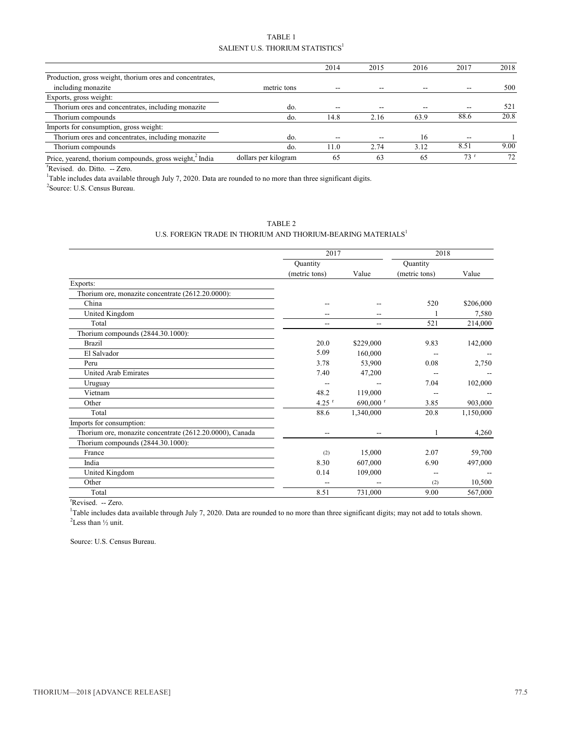| TABLE 1                                      |
|----------------------------------------------|
| SALIENT U.S. THORIUM STATISTICS <sup>1</sup> |

|                                                          |                      | 2014  | 2015 | 2016 | 2017 | 2018 |
|----------------------------------------------------------|----------------------|-------|------|------|------|------|
| Production, gross weight, thorium ores and concentrates, |                      |       |      |      |      |      |
| including monazite                                       | metric tons          |       |      |      |      | 500  |
| Exports, gross weight:                                   |                      |       |      |      |      |      |
| Thorium ores and concentrates, including monazite        | do.                  | --    |      |      |      | 521  |
| Thorium compounds                                        | do.                  | 14.8  | 2.16 | 63.9 | 88.6 | 20.8 |
| Imports for consumption, gross weight:                   |                      |       |      |      |      |      |
| Thorium ores and concentrates, including monazite        | do.                  | $- -$ |      | 16   | --   |      |
| Thorium compounds                                        | do.                  | 11.0  | 2.74 | 3.12 | 8.51 | 9.00 |
| Price, yearend, thorium compounds, gross weight, India   | dollars per kilogram | 65    | 63   | 65   | 73'  | 72   |

<sup>r</sup>Revised. do. Ditto. -- Zero.

<sup>1</sup>Table includes data available through July 7, 2020. Data are rounded to no more than three significant digits.

2 Source: U.S. Census Bureau.

#### U.S. FOREIGN TRADE IN THORIUM AND THORIUM-BEARING MATERIALS  $^{\rm l}$

|                                                          | 2017                |                          | 2018          |           |  |
|----------------------------------------------------------|---------------------|--------------------------|---------------|-----------|--|
|                                                          | Quantity            |                          | Quantity      |           |  |
|                                                          | (metric tons)       | Value                    | (metric tons) | Value     |  |
| Exports:                                                 |                     |                          |               |           |  |
| Thorium ore, monazite concentrate (2612.20.0000):        |                     |                          |               |           |  |
| China                                                    | --                  |                          | 520           | \$206,000 |  |
| United Kingdom                                           |                     |                          |               | 7,580     |  |
| Total                                                    | $-$                 | $\overline{\phantom{a}}$ | 521           | 214,000   |  |
| Thorium compounds (2844.30.1000):                        |                     |                          |               |           |  |
| <b>Brazil</b>                                            | 20.0                | \$229,000                | 9.83          | 142,000   |  |
| El Salvador                                              | 5.09                | 160,000                  |               |           |  |
| Peru                                                     | 3.78                | 53,900                   | 0.08          | 2,750     |  |
| <b>United Arab Emirates</b>                              | 7.40                | 47,200                   |               |           |  |
| Uruguay                                                  | --                  |                          | 7.04          | 102,000   |  |
| Vietnam                                                  | 48.2                | 119,000                  |               |           |  |
| Other                                                    | $4.25$ <sup>r</sup> | 690,000 $^{\rm r}$       | 3.85          | 903,000   |  |
| Total                                                    | 88.6                | 1,340,000                | 20.8          | 1,150,000 |  |
| Imports for consumption:                                 |                     |                          |               |           |  |
| Thorium ore, monazite concentrate (2612.20.0000), Canada | $\overline{a}$      | --                       |               | 4,260     |  |
| Thorium compounds (2844.30.1000):                        |                     |                          |               |           |  |
| France                                                   | (2)                 | 15,000                   | 2.07          | 59,700    |  |
| India                                                    | 8.30                | 607,000                  | 6.90          | 497,000   |  |
| United Kingdom                                           | 0.14                | 109,000                  | --            |           |  |
| Other                                                    |                     |                          | (2)           | 10,500    |  |
| Total                                                    | 8.51                | 731,000                  | 9.00          | 567,000   |  |
| They are all the                                         |                     |                          |               |           |  |

<sup>r</sup>Revised. -- Zero.

<sup>1</sup>Table includes data available through July 7, 2020. Data are rounded to no more than three significant digits; may not add to totals shown.  $2$ Less than  $\frac{1}{2}$  unit.

Source: U.S. Census Bureau.